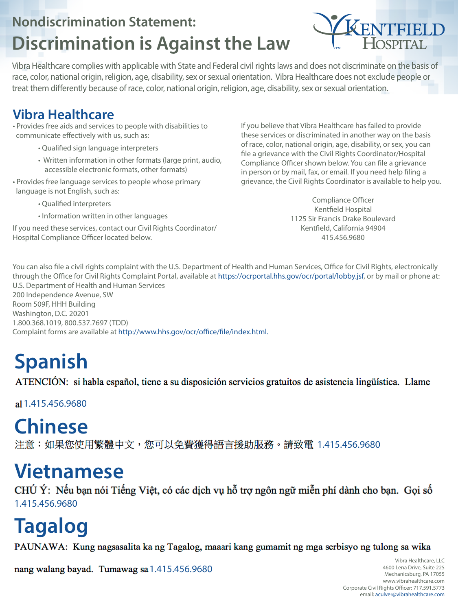#### **Nondiscrimination Statement: Discrimination is Against the Law**



Vibra Healthcare complies with applicable with State and Federal civil rights laws and does not discriminate on the basis of race, color, national origin, religion, age, disability, sex or sexual orientation. Vibra Healthcare does not exclude people or treat them differently because of race, color, national origin, religion, age, disability, sex or sexual orientation.

#### **Vibra Healthcare**

- Provides free aids and services to people with disabilities to communicate effectively with us, such as:
	- Qualified sign language interpreters
	- Written information in other formats (large print, audio, accessible electronic formats, other formats)
- Provides free language services to people whose primary language is not English, such as:
	- Qualified interpreters
	- Information written in other languages
- If you need these services, contact our Civil Rights Coordinator/ Hospital Compliance Officer located below.

CHÚ Ý: Nếu bạn nói Tiếng Việt, có các dịch vụ hỗ trợ ngôn ngữ miễn phí dành cho bạn. Gọi số 1.415.456.9680

If you believe that Vibra Healthcare has failed to provide these services or discriminated in another way on the basis of race, color, national origin, age, disability, or sex, you can file a grievance with the Civil Rights Coordinator/Hospital Compliance Officer shown below. You can file a grievance in person or by mail, fax, or email. If you need help filing a grievance, the Civil Rights Coordinator is available to help you.

> Compliance Officer Kentfield Hospital 1125 Sir Francis Drake Boulevard Kentfield, California 94904 415.456.9680

You can also file a civil rights complaint with the U.S. Department of Health and Human Services, Office for Civil Rights, electronically through the Office for Civil Rights Complaint Portal, available at https://ocrportal.hhs.gov/ocr/portal/lobby.jsf, or by mail or phone at: U.S. Department of Health and Human Services 200 Independence Avenue, SW Room 509F, HHH Building Washington, D.C. 20201

1.800.368.1019, 800.537.7697 (TDD) Complaint forms are available at http://www.hhs.gov/ocr/office/file/index.html.

# **Spanish**

ATENCIÓN: si habla español, tiene a su disposición servicios gratuitos de asistencia lingüística. Llame

al 1.415.456.9680

# **Chinese**

注意:如果您使用繁體中文,您可以免費獲得語言援助服務。請致電 1.415.456.9680

## **Vietnamese**

# **Tagalog**

PAUNAWA: Kung nagsasalita ka ng Tagalog, maaari kang gumamit ng mga serbisyo ng tulong sa wika

nang walang bayad. Tumawag sa 1.415.456.9680

Vibra Healthcare, LLC 4600 Lena Drive, Suite 225 Mechanicsburg, PA 17055 www.vibrahealthcare.com Corporate Civil Rights Officer: 717.591.5773 email: aculver@vibrahealthcare.com